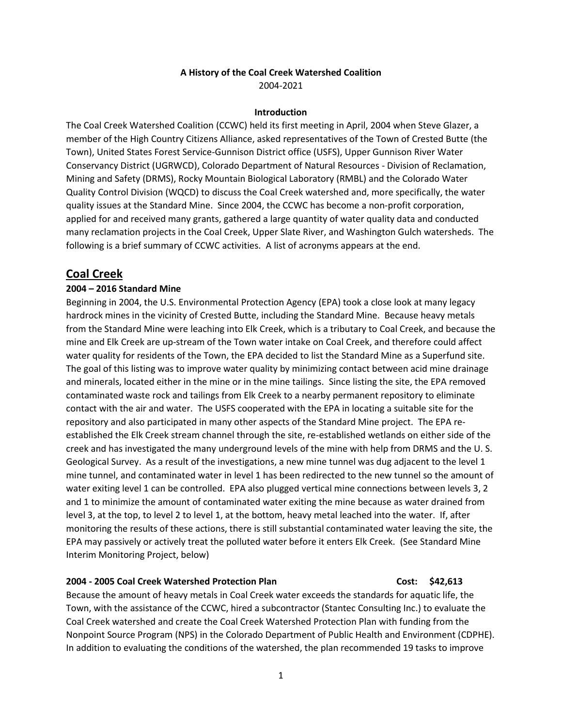### **A History of the Coal Creek Watershed Coalition** 2004-2021

### **Introduction**

The Coal Creek Watershed Coalition (CCWC) held its first meeting in April, 2004 when Steve Glazer, a member of the High Country Citizens Alliance, asked representatives of the Town of Crested Butte (the Town), United States Forest Service-Gunnison District office (USFS), Upper Gunnison River Water Conservancy District (UGRWCD), Colorado Department of Natural Resources - Division of Reclamation, Mining and Safety (DRMS), Rocky Mountain Biological Laboratory (RMBL) and the Colorado Water Quality Control Division (WQCD) to discuss the Coal Creek watershed and, more specifically, the water quality issues at the Standard Mine. Since 2004, the CCWC has become a non-profit corporation, applied for and received many grants, gathered a large quantity of water quality data and conducted many reclamation projects in the Coal Creek, Upper Slate River, and Washington Gulch watersheds. The following is a brief summary of CCWC activities. A list of acronyms appears at the end.

## **Coal Creek**

### **2004 – 2016 Standard Mine**

Beginning in 2004, the U.S. Environmental Protection Agency (EPA) took a close look at many legacy hardrock mines in the vicinity of Crested Butte, including the Standard Mine. Because heavy metals from the Standard Mine were leaching into Elk Creek, which is a tributary to Coal Creek, and because the mine and Elk Creek are up-stream of the Town water intake on Coal Creek, and therefore could affect water quality for residents of the Town, the EPA decided to list the Standard Mine as a Superfund site. The goal of this listing was to improve water quality by minimizing contact between acid mine drainage and minerals, located either in the mine or in the mine tailings. Since listing the site, the EPA removed contaminated waste rock and tailings from Elk Creek to a nearby permanent repository to eliminate contact with the air and water. The USFS cooperated with the EPA in locating a suitable site for the repository and also participated in many other aspects of the Standard Mine project. The EPA reestablished the Elk Creek stream channel through the site, re-established wetlands on either side of the creek and has investigated the many underground levels of the mine with help from DRMS and the U. S. Geological Survey. As a result of the investigations, a new mine tunnel was dug adjacent to the level 1 mine tunnel, and contaminated water in level 1 has been redirected to the new tunnel so the amount of water exiting level 1 can be controlled. EPA also plugged vertical mine connections between levels 3, 2 and 1 to minimize the amount of contaminated water exiting the mine because as water drained from level 3, at the top, to level 2 to level 1, at the bottom, heavy metal leached into the water. If, after monitoring the results of these actions, there is still substantial contaminated water leaving the site, the EPA may passively or actively treat the polluted water before it enters Elk Creek. (See Standard Mine Interim Monitoring Project, below)

### **2004 - 2005 Coal Creek Watershed Protection Plan Cost: \$42,613**

Because the amount of heavy metals in Coal Creek water exceeds the standards for aquatic life, the Town, with the assistance of the CCWC, hired a subcontractor (Stantec Consulting Inc.) to evaluate the Coal Creek watershed and create the Coal Creek Watershed Protection Plan with funding from the Nonpoint Source Program (NPS) in the Colorado Department of Public Health and Environment (CDPHE). In addition to evaluating the conditions of the watershed, the plan recommended 19 tasks to improve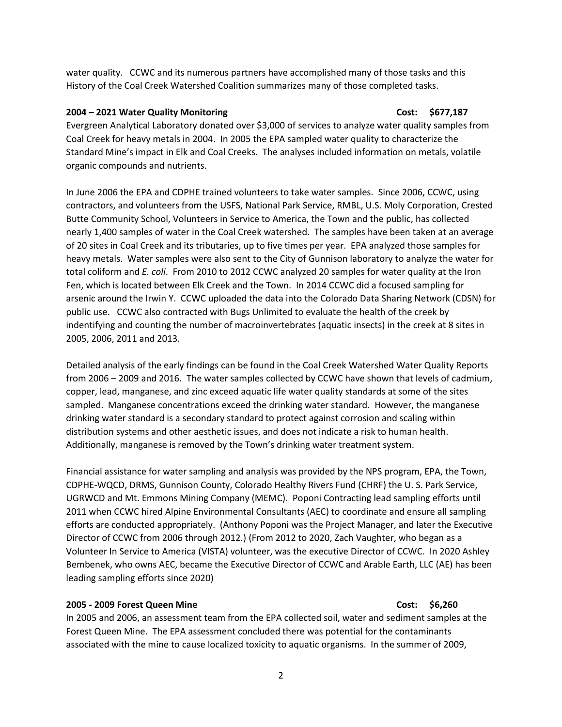water quality. CCWC and its numerous partners have accomplished many of those tasks and this History of the Coal Creek Watershed Coalition summarizes many of those completed tasks.

## **2004 – 2021 Water Quality Monitoring Cost: \$677,187**

Evergreen Analytical Laboratory donated over \$3,000 of services to analyze water quality samples from Coal Creek for heavy metals in 2004. In 2005 the EPA sampled water quality to characterize the Standard Mine's impact in Elk and Coal Creeks. The analyses included information on metals, volatile organic compounds and nutrients.

In June 2006 the EPA and CDPHE trained volunteers to take water samples. Since 2006, CCWC, using contractors, and volunteers from the USFS, National Park Service, RMBL, U.S. Moly Corporation, Crested Butte Community School, Volunteers in Service to America, the Town and the public, has collected nearly 1,400 samples of water in the Coal Creek watershed. The samples have been taken at an average of 20 sites in Coal Creek and its tributaries, up to five times per year. EPA analyzed those samples for heavy metals. Water samples were also sent to the City of Gunnison laboratory to analyze the water for total coliform and *E. coli*. From 2010 to 2012 CCWC analyzed 20 samples for water quality at the Iron Fen, which is located between Elk Creek and the Town. In 2014 CCWC did a focused sampling for arsenic around the Irwin Y. CCWC uploaded the data into the Colorado Data Sharing Network (CDSN) for public use. CCWC also contracted with Bugs Unlimited to evaluate the health of the creek by indentifying and counting the number of macroinvertebrates (aquatic insects) in the creek at 8 sites in 2005, 2006, 2011 and 2013.

Detailed analysis of the early findings can be found in the Coal Creek Watershed Water Quality Reports from 2006 – 2009 and 2016. The water samples collected by CCWC have shown that levels of cadmium, copper, lead, manganese, and zinc exceed aquatic life water quality standards at some of the sites sampled. Manganese concentrations exceed the drinking water standard. However, the manganese drinking water standard is a secondary standard to protect against corrosion and scaling within distribution systems and other aesthetic issues, and does not indicate a risk to human health. Additionally, manganese is removed by the Town's drinking water treatment system.

Financial assistance for water sampling and analysis was provided by the NPS program, EPA, the Town, CDPHE-WQCD, DRMS, Gunnison County, Colorado Healthy Rivers Fund (CHRF) the U. S. Park Service, UGRWCD and Mt. Emmons Mining Company (MEMC). Poponi Contracting lead sampling efforts until 2011 when CCWC hired Alpine Environmental Consultants (AEC) to coordinate and ensure all sampling efforts are conducted appropriately. (Anthony Poponi was the Project Manager, and later the Executive Director of CCWC from 2006 through 2012.) (From 2012 to 2020, Zach Vaughter, who began as a Volunteer In Service to America (VISTA) volunteer, was the executive Director of CCWC. In 2020 Ashley Bembenek, who owns AEC, became the Executive Director of CCWC and Arable Earth, LLC (AE) has been leading sampling efforts since 2020)

## **2005 - 2009 Forest Queen Mine Cost: \$6,260**

In 2005 and 2006, an assessment team from the EPA collected soil, water and sediment samples at the Forest Queen Mine. The EPA assessment concluded there was potential for the contaminants associated with the mine to cause localized toxicity to aquatic organisms. In the summer of 2009,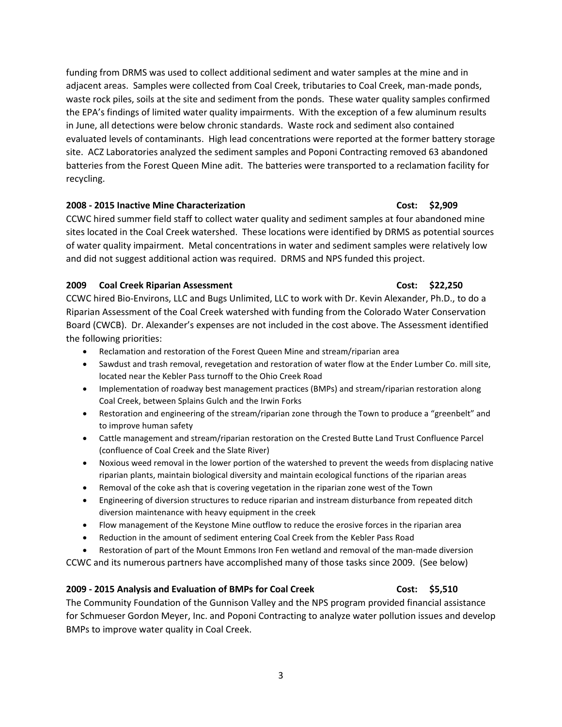funding from DRMS was used to collect additional sediment and water samples at the mine and in adjacent areas. Samples were collected from Coal Creek, tributaries to Coal Creek, man-made ponds, waste rock piles, soils at the site and sediment from the ponds. These water quality samples confirmed the EPA's findings of limited water quality impairments. With the exception of a few aluminum results in June, all detections were below chronic standards. Waste rock and sediment also contained evaluated levels of contaminants. High lead concentrations were reported at the former battery storage site. ACZ Laboratories analyzed the sediment samples and Poponi Contracting removed 63 abandoned batteries from the Forest Queen Mine adit. The batteries were transported to a reclamation facility for recycling.

### **2008 - 2015 Inactive Mine Characterization Cost: \$2,909**

CCWC hired summer field staff to collect water quality and sediment samples at four abandoned mine sites located in the Coal Creek watershed. These locations were identified by DRMS as potential sources of water quality impairment. Metal concentrations in water and sediment samples were relatively low and did not suggest additional action was required. DRMS and NPS funded this project.

## **2009 Coal Creek Riparian Assessment Cost: \$22,250**

CCWC hired Bio-Environs, LLC and Bugs Unlimited, LLC to work with Dr. Kevin Alexander, Ph.D., to do a Riparian Assessment of the Coal Creek watershed with funding from the Colorado Water Conservation Board (CWCB). Dr. Alexander's expenses are not included in the cost above. The Assessment identified the following priorities:

- Reclamation and restoration of the Forest Queen Mine and stream/riparian area
- Sawdust and trash removal, revegetation and restoration of water flow at the Ender Lumber Co. mill site, located near the Kebler Pass turnoff to the Ohio Creek Road
- Implementation of roadway best management practices (BMPs) and stream/riparian restoration along Coal Creek, between Splains Gulch and the Irwin Forks
- Restoration and engineering of the stream/riparian zone through the Town to produce a "greenbelt" and to improve human safety
- Cattle management and stream/riparian restoration on the Crested Butte Land Trust Confluence Parcel (confluence of Coal Creek and the Slate River)
- Noxious weed removal in the lower portion of the watershed to prevent the weeds from displacing native riparian plants, maintain biological diversity and maintain ecological functions of the riparian areas
- Removal of the coke ash that is covering vegetation in the riparian zone west of the Town
- Engineering of diversion structures to reduce riparian and instream disturbance from repeated ditch diversion maintenance with heavy equipment in the creek
- Flow management of the Keystone Mine outflow to reduce the erosive forces in the riparian area
- Reduction in the amount of sediment entering Coal Creek from the Kebler Pass Road

• Restoration of part of the Mount Emmons Iron Fen wetland and removal of the man-made diversion CCWC and its numerous partners have accomplished many of those tasks since 2009. (See below)

## **2009 - 2015 Analysis and Evaluation of BMPs for Coal Creek Cost: \$5,510**

# The Community Foundation of the Gunnison Valley and the NPS program provided financial assistance for Schmueser Gordon Meyer, Inc. and Poponi Contracting to analyze water pollution issues and develop BMPs to improve water quality in Coal Creek.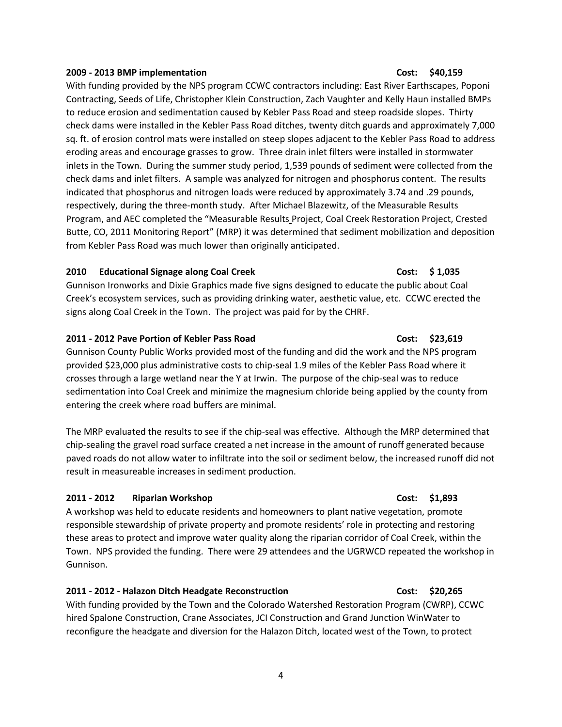### 4

### **2009 - 2013 BMP implementation Cost: \$40,159**

With funding provided by the NPS program CCWC contractors including: East River Earthscapes, Poponi Contracting, Seeds of Life, Christopher Klein Construction, Zach Vaughter and Kelly Haun installed BMPs to reduce erosion and sedimentation caused by Kebler Pass Road and steep roadside slopes. Thirty check dams were installed in the Kebler Pass Road ditches, twenty ditch guards and approximately 7,000 sq. ft. of erosion control mats were installed on steep slopes adjacent to the Kebler Pass Road to address eroding areas and encourage grasses to grow. Three drain inlet filters were installed in stormwater inlets in the Town. During the summer study period, 1,539 pounds of sediment were collected from the check dams and inlet filters. A sample was analyzed for nitrogen and phosphorus content. The results indicated that phosphorus and nitrogen loads were reduced by approximately 3.74 and .29 pounds, respectively, during the three-month study. After Michael Blazewitz, of the Measurable Results Program, and AEC completed the "Measurable Results Project, Coal Creek Restoration Project, Crested Butte, CO, 2011 Monitoring Report" (MRP) it was determined that sediment mobilization and deposition from Kebler Pass Road was much lower than originally anticipated.

### **2010 Educational Signage along Coal Creek Cost: \$ 1,035**

Gunnison Ironworks and Dixie Graphics made five signs designed to educate the public about Coal Creek's ecosystem services, such as providing drinking water, aesthetic value, etc. CCWC erected the signs along Coal Creek in the Town. The project was paid for by the CHRF.

## **2011 - 2012 Pave Portion of Kebler Pass Road Cost: \$23,619**

Gunnison County Public Works provided most of the funding and did the work and the NPS program provided \$23,000 plus administrative costs to chip-seal 1.9 miles of the Kebler Pass Road where it crosses through a large wetland near the Y at Irwin. The purpose of the chip-seal was to reduce sedimentation into Coal Creek and minimize the magnesium chloride being applied by the county from entering the creek where road buffers are minimal.

The MRP evaluated the results to see if the chip-seal was effective. Although the MRP determined that chip-sealing the gravel road surface created a net increase in the amount of runoff generated because paved roads do not allow water to infiltrate into the soil or sediment below, the increased runoff did not result in measureable increases in sediment production.

## **2011 - 2012 Riparian Workshop Cost: \$1,893**

A workshop was held to educate residents and homeowners to plant native vegetation, promote responsible stewardship of private property and promote residents' role in protecting and restoring these areas to protect and improve water quality along the riparian corridor of Coal Creek, within the Town. NPS provided the funding. There were 29 attendees and the UGRWCD repeated the workshop in Gunnison.

### **2011 - 2012 - Halazon Ditch Headgate Reconstruction Cost: \$20,265**

With funding provided by the Town and the Colorado Watershed Restoration Program (CWRP), CCWC hired Spalone Construction, Crane Associates, JCI Construction and Grand Junction WinWater to reconfigure the headgate and diversion for the Halazon Ditch, located west of the Town, to protect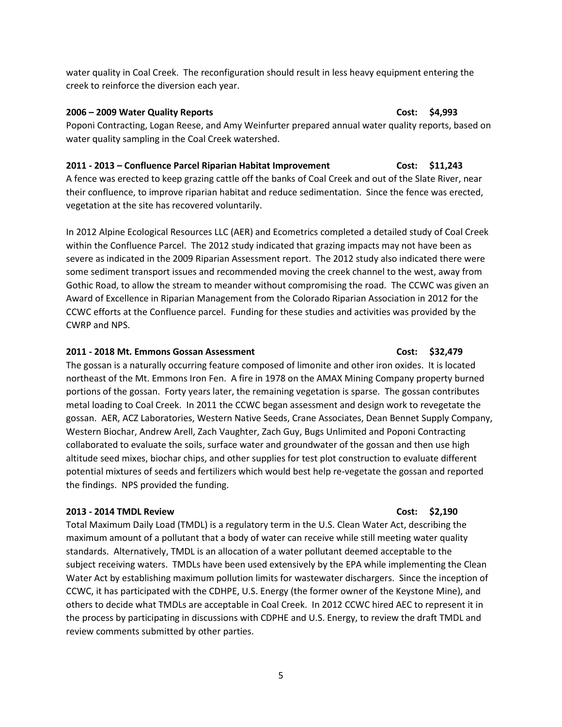water quality in Coal Creek. The reconfiguration should result in less heavy equipment entering the creek to reinforce the diversion each year.

### **2006 – 2009 Water Quality Reports Cost: \$4,993**

Poponi Contracting, Logan Reese, and Amy Weinfurter prepared annual water quality reports, based on water quality sampling in the Coal Creek watershed.

## **2011 - 2013 – Confluence Parcel Riparian Habitat Improvement Cost: \$11,243**

A fence was erected to keep grazing cattle off the banks of Coal Creek and out of the Slate River, near their confluence, to improve riparian habitat and reduce sedimentation. Since the fence was erected, vegetation at the site has recovered voluntarily.

In 2012 Alpine Ecological Resources LLC (AER) and Ecometrics completed a detailed study of Coal Creek within the Confluence Parcel. The 2012 study indicated that grazing impacts may not have been as severe as indicated in the 2009 Riparian Assessment report. The 2012 study also indicated there were some sediment transport issues and recommended moving the creek channel to the west, away from Gothic Road, to allow the stream to meander without compromising the road. The CCWC was given an Award of Excellence in Riparian Management from the Colorado Riparian Association in 2012 for the CCWC efforts at the Confluence parcel. Funding for these studies and activities was provided by the CWRP and NPS.

### **2011 - 2018 Mt. Emmons Gossan Assessment Cost: \$32,479**

The gossan is a naturally occurring feature composed of limonite and other iron oxides. It is located northeast of the Mt. Emmons Iron Fen. A fire in 1978 on the AMAX Mining Company property burned portions of the gossan. Forty years later, the remaining vegetation is sparse. The gossan contributes metal loading to Coal Creek. In 2011 the CCWC began assessment and design work to revegetate the gossan. AER, ACZ Laboratories, Western Native Seeds, Crane Associates, Dean Bennet Supply Company, Western Biochar, Andrew Arell, Zach Vaughter, Zach Guy, Bugs Unlimited and Poponi Contracting collaborated to evaluate the soils, surface water and groundwater of the gossan and then use high altitude seed mixes, biochar chips, and other supplies for test plot construction to evaluate different potential mixtures of seeds and fertilizers which would best help re-vegetate the gossan and reported the findings. NPS provided the funding.

### **2013 - 2014 TMDL Review Cost: \$2,190**

Total Maximum Daily Load (TMDL) is a regulatory term in the U.S. [Clean Water Act,](https://en.wikipedia.org/wiki/Clean_Water_Act) describing the maximum amount of a [pollutant](https://en.wikipedia.org/wiki/Pollutant) that a [body of water](https://en.wikipedia.org/wiki/Body_of_water) can receive while still meeting [water quality](https://en.wikipedia.org/wiki/Clean_Water_Act#Water_Quality_Standards_Program)  [standards.](https://en.wikipedia.org/wiki/Clean_Water_Act#Water_Quality_Standards_Program) Alternatively, TMDL is an allocation of a [water pollutant](https://en.wikipedia.org/wiki/Water_pollutant) deemed acceptable to the subject [receiving waters.](https://en.wikipedia.org/wiki/Surface_water) TMDLs have been used extensively by the EPA while implementing the Clean Water Act by establishing maximum pollution limits for wastewater dischargers. Since the inception of CCWC, it has participated with the CDHPE, U.S. Energy (the former owner of the Keystone Mine), and others to decide what TMDLs are acceptable in Coal Creek. In 2012 CCWC hired AEC to represent it in the process by participating in discussions with CDPHE and U.S. Energy, to review the draft TMDL and review comments submitted by other parties.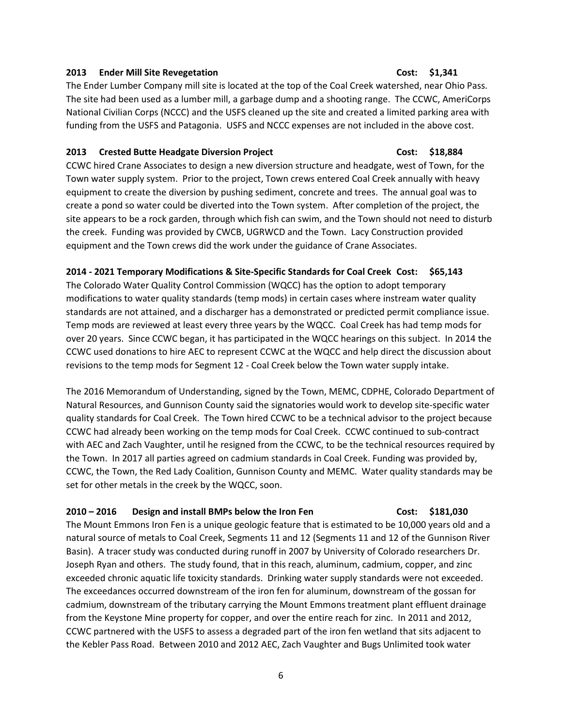### **2013 Ender Mill Site Revegetation Cost: \$1,341**

# The Ender Lumber Company mill site is located at the top of the Coal Creek watershed, near Ohio Pass. The site had been used as a lumber mill, a garbage dump and a shooting range. The CCWC, AmeriCorps National Civilian Corps (NCCC) and the USFS cleaned up the site and created a limited parking area with funding from the USFS and Patagonia. USFS and NCCC expenses are not included in the above cost.

### **2013 Crested Butte Headgate Diversion Project Cost: \$18,884**

CCWC hired Crane Associates to design a new diversion structure and headgate, west of Town, for the Town water supply system. Prior to the project, Town crews entered Coal Creek annually with heavy equipment to create the diversion by pushing sediment, concrete and trees. The annual goal was to create a pond so water could be diverted into the Town system. After completion of the project, the site appears to be a rock garden, through which fish can swim, and the Town should not need to disturb the creek. Funding was provided by CWCB, UGRWCD and the Town. Lacy Construction provided equipment and the Town crews did the work under the guidance of Crane Associates.

## **2014 - 2021 Temporary Modifications & Site-Specific Standards for Coal Creek Cost: \$65,143**

The Colorado Water Quality Control Commission (WQCC) has the option to adopt temporary modifications to water quality standards (temp mods) in certain cases where instream water quality standards are not attained, and a discharger has a demonstrated or predicted permit compliance issue. Temp mods are reviewed at least every three years by the WQCC. Coal Creek has had temp mods for over 20 years. Since CCWC began, it has participated in the WQCC hearings on this subject. In 2014 the CCWC used donations to hire AEC to represent CCWC at the WQCC and help direct the discussion about revisions to the temp mods for Segment 12 - Coal Creek below the Town water supply intake.

The 2016 Memorandum of Understanding, signed by the Town, MEMC, CDPHE, Colorado Department of Natural Resources, and Gunnison County said the signatories would work to develop site-specific water quality standards for Coal Creek. The Town hired CCWC to be a technical advisor to the project because CCWC had already been working on the temp mods for Coal Creek. CCWC continued to sub-contract with AEC and Zach Vaughter, until he resigned from the CCWC, to be the technical resources required by the Town. In 2017 all parties agreed on cadmium standards in Coal Creek. Funding was provided by, CCWC, the Town, the Red Lady Coalition, Gunnison County and MEMC. Water quality standards may be set for other metals in the creek by the WQCC, soon.

## **2010 – 2016 Design and install BMPs below the Iron Fen Cost: \$181,030**

The Mount Emmons Iron Fen is a unique geologic feature that is estimated to be 10,000 years old and a natural source of metals to Coal Creek, Segments 11 and 12 (Segments 11 and 12 of the Gunnison River Basin). A tracer study was conducted during runoff in 2007 by University of Colorado researchers Dr. Joseph Ryan and others. The study found, that in this reach, aluminum, cadmium, copper, and zinc exceeded chronic aquatic life toxicity standards. Drinking water supply standards were not exceeded. The exceedances occurred downstream of the iron fen for aluminum, downstream of the gossan for cadmium, downstream of the tributary carrying the Mount Emmons treatment plant effluent drainage from the Keystone Mine property for copper, and over the entire reach for zinc. In 2011 and 2012, CCWC partnered with the USFS to assess a degraded part of the iron fen wetland that sits adjacent to the Kebler Pass Road. Between 2010 and 2012 AEC, Zach Vaughter and Bugs Unlimited took water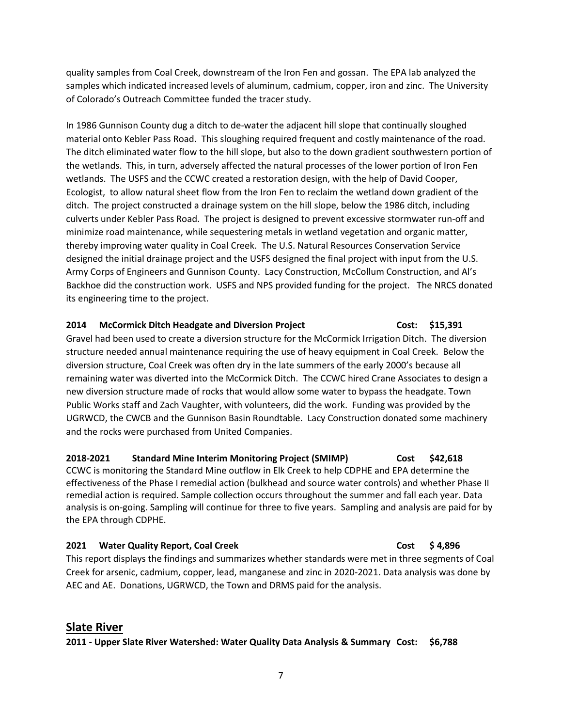quality samples from Coal Creek, downstream of the Iron Fen and gossan. The EPA lab analyzed the samples which indicated increased levels of aluminum, cadmium, copper, iron and zinc. The University of Colorado's Outreach Committee funded the tracer study.

In 1986 Gunnison County dug a ditch to de-water the adjacent hill slope that continually sloughed material onto Kebler Pass Road. This sloughing required frequent and costly maintenance of the road. The ditch eliminated water flow to the hill slope, but also to the down gradient southwestern portion of the wetlands. This, in turn, adversely affected the natural processes of the lower portion of Iron Fen wetlands. The USFS and the CCWC created a restoration design, with the help of David Cooper, Ecologist, to allow natural sheet flow from the Iron Fen to reclaim the wetland down gradient of the ditch. The project constructed a drainage system on the hill slope, below the 1986 ditch, including culverts under Kebler Pass Road. The project is designed to prevent excessive stormwater run-off and minimize road maintenance, while sequestering metals in wetland vegetation and organic matter, thereby improving water quality in Coal Creek. The U.S. Natural Resources Conservation Service designed the initial drainage project and the USFS designed the final project with input from the U.S. Army Corps of Engineers and Gunnison County. Lacy Construction, McCollum Construction, and Al's Backhoe did the construction work. USFS and NPS provided funding for the project. The NRCS donated its engineering time to the project.

## **2014 McCormick Ditch Headgate and Diversion Project Cost: \$15,391**

Gravel had been used to create a diversion structure for the McCormick Irrigation Ditch. The diversion structure needed annual maintenance requiring the use of heavy equipment in Coal Creek. Below the diversion structure, Coal Creek was often dry in the late summers of the early 2000's because all remaining water was diverted into the McCormick Ditch. The CCWC hired Crane Associates to design a new diversion structure made of rocks that would allow some water to bypass the headgate. Town Public Works staff and Zach Vaughter, with volunteers, did the work. Funding was provided by the UGRWCD, the CWCB and the Gunnison Basin Roundtable. Lacy Construction donated some machinery and the rocks were purchased from United Companies.

**2018-2021 Standard Mine Interim Monitoring Project (SMIMP) Cost \$42,618** CCWC is monitoring the Standard Mine outflow in Elk Creek to help CDPHE and EPA determine the effectiveness of the Phase I remedial action (bulkhead and source water controls) and whether Phase II remedial action is required. Sample collection occurs throughout the summer and fall each year. Data analysis is on-going. Sampling will continue for three to five years. Sampling and analysis are paid for by the EPA through CDPHE.

## **2021 Water Quality Report, Coal Creek Cost 54,896 Cost 54,896**

This report displays the findings and summarizes whether standards were met in three segments of Coal Creek for arsenic, cadmium, copper, lead, manganese and zinc in 2020-2021. Data analysis was done by AEC and AE. Donations, UGRWCD, the Town and DRMS paid for the analysis.

# **Slate River**

## **2011 - Upper Slate River Watershed: Water Quality Data Analysis & Summary Cost: \$6,788**

7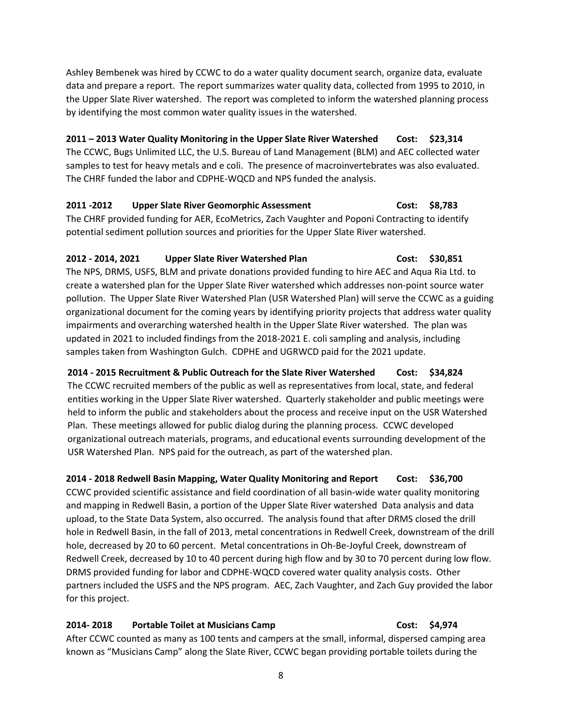Ashley Bembenek was hired by CCWC to do a water quality document search, organize data, evaluate data and prepare a report. The report summarizes water quality data, collected from 1995 to 2010, in the Upper Slate River watershed. The report was completed to inform the watershed planning process by identifying the most common water quality issues in the watershed.

## **2011 – 2013 Water Quality Monitoring in the Upper Slate River Watershed Cost: \$23,314**

The CCWC, Bugs Unlimited LLC, the U.S. Bureau of Land Management (BLM) and AEC collected water samples to test for heavy metals and e coli. The presence of macroinvertebrates was also evaluated. The CHRF funded the labor and CDPHE-WQCD and NPS funded the analysis.

# **2011 -2012 Upper Slate River Geomorphic Assessment Cost: \$8,783**

The CHRF provided funding for AER, EcoMetrics, Zach Vaughter and Poponi Contracting to identify potential sediment pollution sources and priorities for the Upper Slate River watershed.

# **2012 - 2014, 2021 Upper Slate River Watershed Plan Cost: \$30,851**

The NPS, DRMS, USFS, BLM and private donations provided funding to hire AEC and Aqua Ria Ltd. to create a watershed plan for the Upper Slate River watershed which addresses non-point source water pollution. The Upper Slate River Watershed Plan (USR Watershed Plan) will serve the CCWC as a guiding organizational document for the coming years by identifying priority projects that address water quality impairments and overarching watershed health in the Upper Slate River watershed. The plan was updated in 2021 to included findings from the 2018-2021 E. coli sampling and analysis, including samples taken from Washington Gulch. CDPHE and UGRWCD paid for the 2021 update.

**2014 - 2015 Recruitment & Public Outreach for the Slate River Watershed Cost: \$34,824** The CCWC recruited members of the public as well as representatives from local, state, and federal entities working in the Upper Slate River watershed. Quarterly stakeholder and public meetings were held to inform the public and stakeholders about the process and receive input on the USR Watershed Plan. These meetings allowed for public dialog during the planning process. CCWC developed organizational outreach materials, programs, and educational events surrounding development of the USR Watershed Plan. NPS paid for the outreach, as part of the watershed plan.

# **2014 - 2018 Redwell Basin Mapping, Water Quality Monitoring and Report Cost: \$36,700**

CCWC provided scientific assistance and field coordination of all basin-wide water quality monitoring and mapping in Redwell Basin, a portion of the Upper Slate River watershed Data analysis and data upload, to the State Data System, also occurred. The analysis found that after DRMS closed the drill hole in Redwell Basin, in the fall of 2013, metal concentrations in Redwell Creek, downstream of the drill hole, decreased by 20 to 60 percent. Metal concentrations in Oh-Be-Joyful Creek, downstream of Redwell Creek, decreased by 10 to 40 percent during high flow and by 30 to 70 percent during low flow. DRMS provided funding for labor and CDPHE-WQCD covered water quality analysis costs. Other partners included the USFS and the NPS program. AEC, Zach Vaughter, and Zach Guy provided the labor for this project.

# **2014- 2018 Portable Toilet at Musicians Camp Cost: \$4,974**

After CCWC counted as many as 100 tents and campers at the small, informal, dispersed camping area known as "Musicians Camp" along the Slate River, CCWC began providing portable toilets during the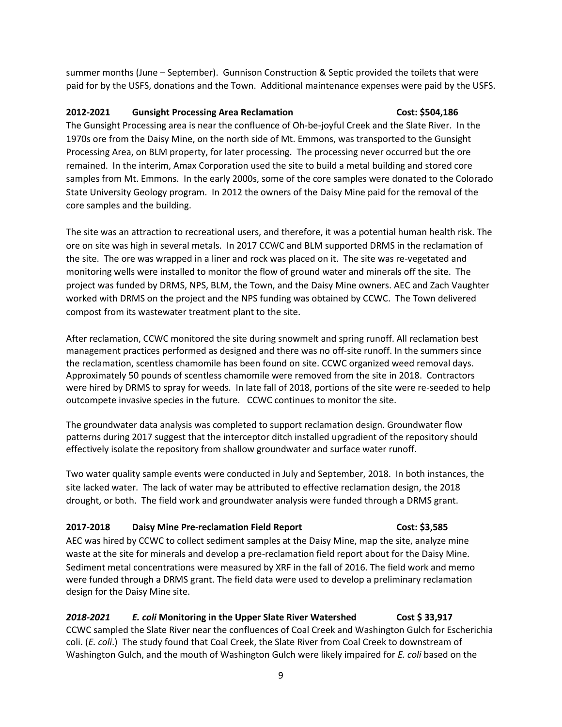summer months (June – September). Gunnison Construction & Septic provided the toilets that were paid for by the USFS, donations and the Town. Additional maintenance expenses were paid by the USFS.

## **2012-2021 Gunsight Processing Area Reclamation Cost: \$504,186**

The Gunsight Processing area is near the confluence of Oh-be-joyful Creek and the Slate River. In the 1970s ore from the Daisy Mine, on the north side of Mt. Emmons, was transported to the Gunsight Processing Area, on BLM property, for later processing. The processing never occurred but the ore remained. In the interim, Amax Corporation used the site to build a metal building and stored core samples from Mt. Emmons. In the early 2000s, some of the core samples were donated to the Colorado State University Geology program. In 2012 the owners of the Daisy Mine paid for the removal of the core samples and the building.

The site was an attraction to recreational users, and therefore, it was a potential human health risk. The ore on site was high in several metals. In 2017 CCWC and BLM supported DRMS in the reclamation of the site. The ore was wrapped in a liner and rock was placed on it. The site was re-vegetated and monitoring wells were installed to monitor the flow of ground water and minerals off the site. The project was funded by DRMS, NPS, BLM, the Town, and the Daisy Mine owners. AEC and Zach Vaughter worked with DRMS on the project and the NPS funding was obtained by CCWC. The Town delivered compost from its wastewater treatment plant to the site.

After reclamation, CCWC monitored the site during snowmelt and spring runoff. All reclamation best management practices performed as designed and there was no off-site runoff. In the summers since the reclamation, scentless chamomile has been found on site. CCWC organized weed removal days. Approximately 50 pounds of scentless chamomile were removed from the site in 2018. Contractors were hired by DRMS to spray for weeds. In late fall of 2018, portions of the site were re-seeded to help outcompete invasive species in the future. CCWC continues to monitor the site.

The groundwater data analysis was completed to support reclamation design. Groundwater flow patterns during 2017 suggest that the interceptor ditch installed upgradient of the repository should effectively isolate the repository from shallow groundwater and surface water runoff.

Two water quality sample events were conducted in July and September, 2018. In both instances, the site lacked water. The lack of water may be attributed to effective reclamation design, the 2018 drought, or both. The field work and groundwater analysis were funded through a DRMS grant.

## **2017-2018 Daisy Mine Pre-reclamation Field Report Cost: \$3,585**

AEC was hired by CCWC to collect sediment samples at the Daisy Mine, map the site, analyze mine waste at the site for minerals and develop a pre-reclamation field report about for the Daisy Mine. Sediment metal concentrations were measured by XRF in the fall of 2016. The field work and memo were funded through a DRMS grant. The field data were used to develop a preliminary reclamation design for the Daisy Mine site.

# *2018-2021 E. coli* **Monitoring in the Upper Slate River Watershed Cost \$ 33,917**

CCWC sampled the Slate River near the confluences of Coal Creek and Washington Gulch for Escherichia coli. (*E. coli*.) The study found that Coal Creek, the Slate River from Coal Creek to downstream of Washington Gulch, and the mouth of Washington Gulch were likely impaired for *E. coli* based on the